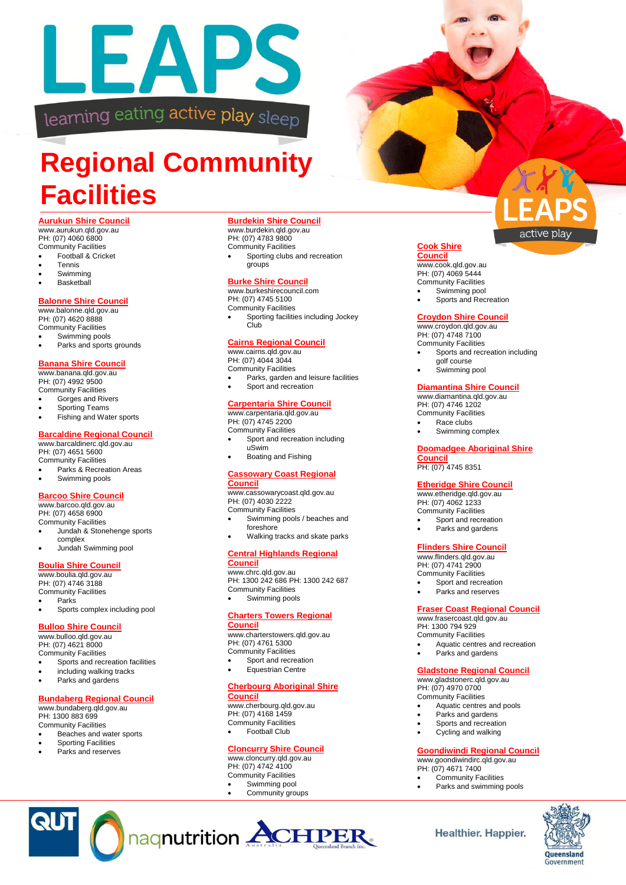

## **Regional Community Facilities**

#### **Aurukun Shire Council**

www.aurukun.qld.gov.au PH: (07) 4060 6800 Community Facilities

- Football & Cricket
- Tennis
- Swimming
- **Basketball**

#### **Balonne Shire Council**

www.balonne.gld.gov.au PH: (07) 4620 8888 Community Facilities Swimming pools

Parks and sports grounds

#### **Banana Shire Council**

www.banana.qld.gov.au PH: (07) 4992 9500 Community Facilities

- Gorges and Rivers
- Sporting Teams
- Fishing and Water sports

#### **Barcaldine Regional Council**

www.barcaldinerc.qld.gov.au PH: (07) 4651 5600 Community Facilities

 Parks & Recreation Areas Swimming pools

#### **Barcoo Shire Council**

www.barcoo.qld.gov.au PH: (07) 4658 6900

Community Facilities

- Jundah & Stonehenge sports complex
- Jundah Swimming pool

#### **Boulia Shire Council**

www.boulia.qld.gov.au PH: (07) 4746 3188 Community Facilities Parks

Sports complex including pool

#### **Bulloo Shire Council**

www.bulloo.qld.gov.au

PH: (07) 4621 8000 Community Facilities

- Sports and recreation facilities including walking tracks
- Parks and gardens

#### **Bundaberg Regional Council**

www.bundaberg.qld.gov.au

PH: 1300 883 699 Community Facilities

- Beaches and water sports Sporting Facilities
- Parks and reserves

**QUT** 

#### **Burdekin Shire Council**

www.burdekin.qld.gov.au PH: (07) 4783 9800 Community Facilities Sporting clubs and recreation groups

#### **Burke Shire Council**

www.burkeshirecouncil.com PH: (07) 4745 5100 Community Facilities Sporting facilities including Jockey Club

#### **Cairns Regional Council**

www.cairns.qld.gov.au PH: (07) 4044 3044

Community Facilities Parks, garden and leisure facilities Sport and recreation

#### **Carpentaria Shire Council**

www.carpentaria.qld.gov.au PH: (07) 4745 2200 Community Facilities

- Sport and recreation including uSwim Boating and Fishing
- **Cassowary Coast Regional**

#### **Council**

www.cassowarycoast.qld.gov.au PH: (07) 4030 2222 Community Facilities

- Swimming pools / beaches and foreshore
- Walking tracks and skate parks

#### **Central Highlands Regional Council**

www.chrc.qld.gov.au PH: 1300 242 686 PH: 1300 242 687 Community Facilities Swimming pools

#### **Charters Towers Regional**

#### **Council**

www.charterstowers.qld.gov.au PH: (07) 4761 5300 Community Facilities

- Sport and recreation
- Equestrian Centre

#### **Cherbourg Aboriginal Shire**

**Council** www.cherbourg.qld.gov.au PH: (07) 4168 1459 Community Facilities Football Club

**Cloncurry Shire Council** www.cloncurry.qld.gov.au PH: (07) 4742 4100 Community Facilities Swimming pool Community groups



# active play

**Council** www.cook.qld.gov.au PH: (07) 4069 5444 Community Facilities

**Cook Shire** 

- Swimming pool
- Sports and Recreation

#### **Croydon Shire Council**

www.croydon.qld.gov.au PH: (07) 4748 7100 Community Facilities

- Sports and recreation including golf course
- Swimming pool

#### **Diamantina Shire Council**

www.diamantina.gld.gov.au PH: (07) 4746 1202 Community Facilities

- Race clubs Swimming complex
- 

#### **Doomadgee Aboriginal Shire Council**

PH: (07) 4745 8351

#### **Etheridge Shire Council**

www.etheridge.qld.gov.au PH: (07) 4062 1233 Community Facilities

- Sport and recreation Parks and gardens
- 

#### **Flinders Shire Council**

www.flinders.qld.gov.au PH: (07) 4741 2900 Community Facilities

- Sport and recreation
- Parks and reserves

#### **Fraser Coast Regional Council**

www.frasercoast.qld.gov.au PH: 1300 794 929 Community Facilities

- Aquatic centres and recreation
- Parks and gardens

#### **Gladstone Regional Council**

www.gladstonerc.qld.gov.au PH: (07) 4970 0700 Community Facilities

- Aquatic centres and pools
- Parks and gardens
- Sports and recreation
- Cycling and walking

#### **Goondiwindi Regional Council**

www.goondiwindirc.qld.gov.au PH: (07) 4671 7400

- Community Facilities Parks and swimming pools
- 

**Healthier. Happier.** 

Queensland Government